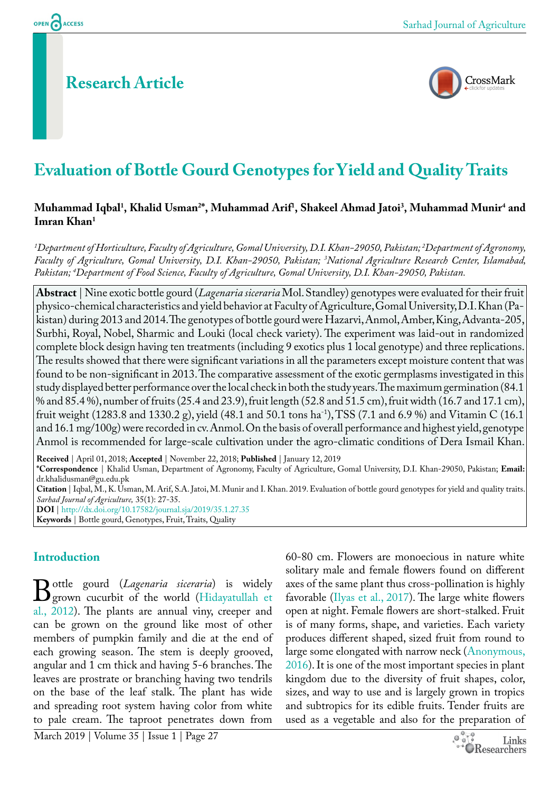# **Research Article**



# **Evaluation of Bottle Gourd Genotypes for Yield and Quality Traits**

### **Muhammad Iqbal1 , Khalid Usman2 \*, Muhammad Arif1 , Shakeel Ahmad Jatoi3 , Muhammad Munir4 and Imran Khan1**

*1 Department of Horticulture, Faculty of Agriculture, Gomal University, D.I. Khan-29050, Pakistan; 2 Department of Agronomy,*  Faculty of Agriculture, Gomal University, D.I. Khan-29050, Pakistan; <sup>3</sup>National Agriculture Research Center, Islamabad, *Pakistan; 4 Department of Food Science, Faculty of Agriculture, Gomal University, D.I. Khan-29050, Pakistan.*

**Abstract** | Nine exotic bottle gourd (*Lagenaria siceraria* Mol. Standley) genotypes were evaluated for their fruit physico-chemical characteristics and yield behavior at Faculty of Agriculture, Gomal University, D.I. Khan (Pakistan) during 2013 and 2014. The genotypes of bottle gourd were Hazarvi, Anmol, Amber, King, Advanta-205, Surbhi, Royal, Nobel, Sharmic and Louki (local check variety). The experiment was laid-out in randomized complete block design having ten treatments (including 9 exotics plus 1 local genotype) and three replications. The results showed that there were significant variations in all the parameters except moisture content that was found to be non-significant in 2013. The comparative assessment of the exotic germplasms investigated in this study displayed better performance over the local check in both the study years. The maximum germination (84.1 % and 85.4 %), number of fruits (25.4 and 23.9), fruit length (52.8 and 51.5 cm), fruit width (16.7 and 17.1 cm), fruit weight (1283.8 and 1330.2 g), yield (48.1 and 50.1 tons ha<sup>-1</sup>), TSS (7.1 and 6.9 %) and Vitamin C (16.1 and 16.1 mg/100g) were recorded in cv. Anmol. On the basis of overall performance and highest yield, genotype Anmol is recommended for large-scale cultivation under the agro-climatic conditions of Dera Ismail Khan.

**Received** | April 01, 2018; **Accepted** | November 22, 2018; **Published** | January 12, 2019

**\*Correspondence** | Khalid Usman, Department of Agronomy, Faculty of Agriculture, Gomal University, D.I. Khan-29050, Pakistan; **Email:**  dr.khalidusman@gu.edu.pk

**Citation** | Iqbal, M., K. Usman, M. Arif, S.A. Jatoi, M. Munir and I. Khan. 2019. Evaluation of bottle gourd genotypes for yield and quality traits. *Sarhad Journal of Agriculture,* 35(1): 27-35.

**DOI** |<http://dx.doi.org/10.17582/journal.sja/2019/35.1.27.35> **Keywords** | Bottle gourd, Genotypes, Fruit, Traits, Quality

# **Introduction**

**[B](#page-7-0)**ottle gourd (*Lagenaria siceraria*) is widely<br>grown cucurbit of the world (Hidayatullah et<br>al. 2012) The plants are annual viny creeper and grown cucurbit of the world ([Hidayatullah et](#page-7-0)  al., 2012). The plants are annual viny, creeper and can be grown on the ground like most of other members of pumpkin family and die at the end of each growing season. The stem is deeply grooved, angular and 1 cm thick and having 5-6 branches. The leaves are prostrate or branching having two tendrils on the base of the leaf stalk. The plant has wide and spreading root system having color from white to pale cream. The taproot penetrates down from

60-80 cm. Flowers are monoecious in nature white solitary male and female flowers found on different axes of the same plant thus cross-pollination is highly favorable ([Ilyas et al., 2017\)](#page-7-1). The large white flowers open at night. Female flowers are short-stalked. Fruit is of many forms, shape, and varieties. Each variety produces different shaped, sized fruit from round to large some elongated with narrow neck (Anonymous, [2016\)](#page-7-2). It is one of the most important species in plant kingdom due to the diversity of fruit shapes, color, sizes, and way to use and is largely grown in tropics and subtropics for its edible fruits. Tender fruits are used as a vegetable and also for the preparation of

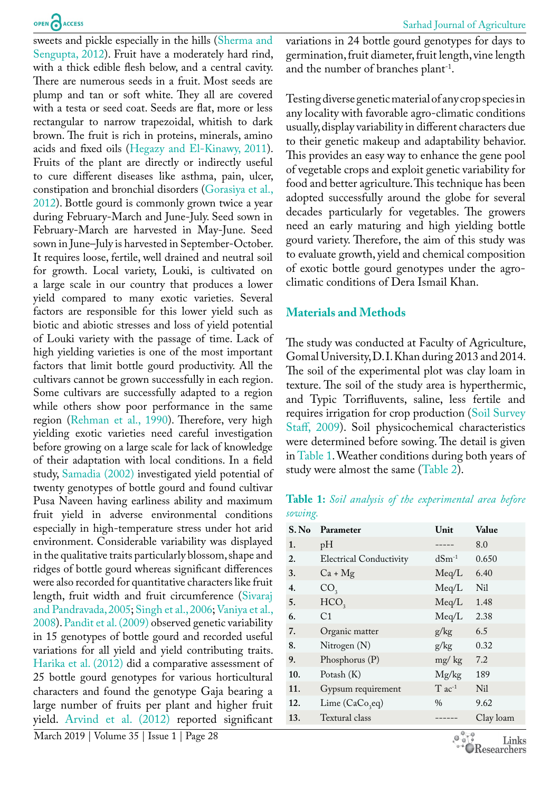sweets and pickle especially in the hills [\(Sherma and](#page-8-0)  [Sengupta, 2012\)](#page-8-0). Fruit have a moderately hard rind, with a thick edible flesh below, and a central cavity. There are numerous seeds in a fruit. Most seeds are plump and tan or soft white. They all are covered with a testa or seed coat. Seeds are flat, more or less rectangular to narrow trapezoidal, whitish to dark brown. The fruit is rich in proteins, minerals, amino acids and fixed oils ([Hegazy and El-Kinawy, 2011\)](#page-7-3). Fruits of the plant are directly or indirectly useful to cure different diseases like asthma, pain, ulcer, constipation and bronchial disorders [\(Gorasiya et al.,](#page-7-4)  [2012](#page-7-4)). Bottle gourd is commonly grown twice a year during February-March and June-July. Seed sown in February-March are harvested in May-June. Seed sown in June–July is harvested in September-October. It requires loose, fertile, well drained and neutral soil for growth. Local variety, Louki, is cultivated on a large scale in our country that produces a lower yield compared to many exotic varieties. Several factors are responsible for this lower yield such as biotic and abiotic stresses and loss of yield potential of Louki variety with the passage of time. Lack of high yielding varieties is one of the most important factors that limit bottle gourd productivity. All the cultivars cannot be grown successfully in each region. Some cultivars are successfully adapted to a region while others show poor performance in the same region ([Rehman et al., 1990](#page-7-5)). Therefore, very high yielding exotic varieties need careful investigation before growing on a large scale for lack of knowledge of their adaptation with local conditions. In a field study, [Samadia \(2002\)](#page-7-6) investigated yield potential of twenty genotypes of bottle gourd and found cultivar Pusa Naveen having earliness ability and maximum fruit yield in adverse environmental conditions especially in high-temperature stress under hot arid environment. Considerable variability was displayed in the qualitative traits particularly blossom, shape and ridges of bottle gourd whereas significant differences were also recorded for quantitative characters like fruit length, fruit width and fruit circumference [\(Sivaraj](#page-8-1)  [and Pandravada, 2005](#page-8-1); [Singh et al., 2006;](#page-8-2) [Vaniya et al.,](#page-8-3)  [2008](#page-8-3)). [Pandit et al. \(2009\)](#page-7-7) observed genetic variability in 15 genotypes of bottle gourd and recorded useful variations for all yield and yield contributing traits. [Harika et al. \(2012\)](#page-7-8) did a comparative assessment of 25 bottle gourd genotypes for various horticultural characters and found the genotype Gaja bearing a large number of fruits per plant and higher fruit yield. [Arvind et al. \(2012\)](#page-7-9) reported significant variations in 24 bottle gourd genotypes for days to germination, fruit diameter, fruit length, vine length and the number of branches plant-1.

Testing diverse genetic material of any crop species in any locality with favorable agro-climatic conditions usually, display variability in different characters due to their genetic makeup and adaptability behavior. This provides an easy way to enhance the gene pool of vegetable crops and exploit genetic variability for food and better agriculture. This technique has been adopted successfully around the globe for several decades particularly for vegetables. The growers need an early maturing and high yielding bottle gourd variety. Therefore, the aim of this study was to evaluate growth, yield and chemical composition of exotic bottle gourd genotypes under the agroclimatic conditions of Dera Ismail Khan.

# **Materials and Methods**

The study was conducted at Faculty of Agriculture, Gomal University, D. I. Khan during 2013 and 2014. The soil of the experimental plot was clay loam in texture. The soil of the study area is hyperthermic, and Typic Torrifluvents, saline, less fertile and requires irrigation for crop production [\(Soil Survey](#page-8-4)  [Staff, 2009](#page-8-4)). Soil physicochemical characteristics were determined before sowing. The detail is given in [Table 1](#page-1-0). Weather conditions during both years of study were almost the same ([Table 2](#page-2-0)).

<span id="page-1-0"></span>**Table 1:** *Soil analysis of the experimental area before sowing.*

| S. No | Parameter                      | Unit                 | Value           |
|-------|--------------------------------|----------------------|-----------------|
| 1.    | pH                             |                      | 8.0             |
| 2.    | <b>Electrical Conductivity</b> | $dSm^{-1}$           | 0.650           |
| 3.    | $Ca + Mg$                      | Meq/L                | 6.40            |
| 4.    | CO <sub>3</sub>                | Meq/L                | Nil             |
| 5.    | HCO <sub>3</sub>               | Meq/L                | 1.48            |
| 6.    | C <sub>1</sub>                 | Meq/L                | 2.38            |
| 7.    | Organic matter                 | g/kg                 | 6.5             |
| 8.    | Nitrogen (N)                   | g/kg                 | 0.32            |
| 9.    | Phosphorus $(P)$               | mg/kg                | 7.2             |
| 10.   | Potash (K)                     | Mg/kg                | 189             |
| 11.   | Gypsum requirement             | $T$ ac <sup>-1</sup> | N <sub>il</sub> |
| 12.   | Lime $(CaCo_{a}eq)$            | $\%$                 | 9.62            |
| 13.   | Textural class                 |                      | Clay loam       |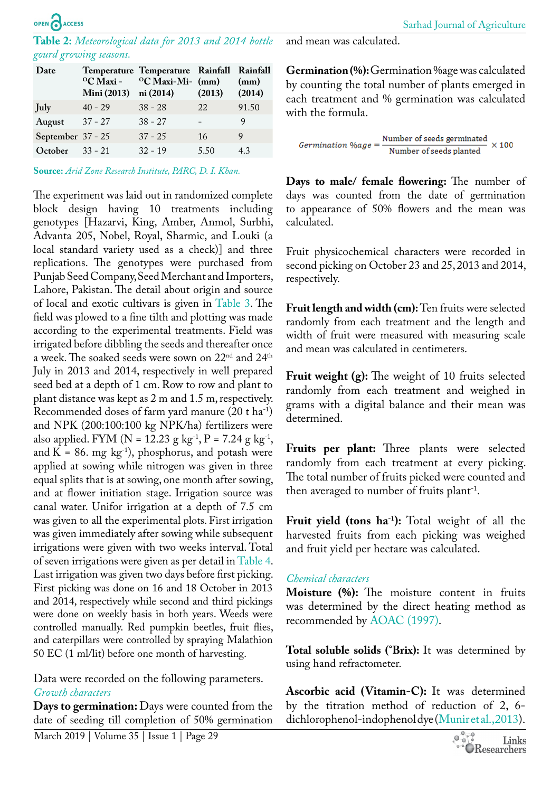#### <span id="page-2-0"></span>**Table 2:** *Meteorological data for 2013 and 2014 bottle gourd growing seasons.*

| Date              | <sup>o</sup> C Maxi -<br>Mini (2013) ni (2014) | Temperature Temperature Rainfall Rainfall<br>$^{\circ}$ C Maxi-Mi- (mm) | (2013) | (mm)<br>(2014) |
|-------------------|------------------------------------------------|-------------------------------------------------------------------------|--------|----------------|
| <b>July</b>       | $40 - 29$                                      | $38 - 28$                                                               | 22     | 91.50          |
| August            | $37 - 27$                                      | $38 - 27$                                                               |        | 9              |
| September 37 - 25 |                                                | $37 - 25$                                                               | 16     | 9              |
| October $33 - 21$ |                                                | $32 - 19$                                                               | 5.50   | 43             |
|                   |                                                |                                                                         |        |                |

**Source:** *Arid Zone Research Institute, PARC, D. I. Khan.*

The experiment was laid out in randomized complete block design having 10 treatments including genotypes [Hazarvi, King, Amber, Anmol, Surbhi, Advanta 205, Nobel, Royal, Sharmic, and Louki (a local standard variety used as a check)] and three replications. The genotypes were purchased from Punjab Seed Company, Seed Merchant and Importers, Lahore, Pakistan. The detail about origin and source of local and exotic cultivars is given in [Table 3](#page-3-0). The field was plowed to a fine tilth and plotting was made according to the experimental treatments. Field was irrigated before dibbling the seeds and thereafter once a week. The soaked seeds were sown on 22<sup>nd</sup> and 24<sup>th</sup> July in 2013 and 2014, respectively in well prepared seed bed at a depth of 1 cm. Row to row and plant to plant distance was kept as 2 m and 1.5 m, respectively. Recommended doses of farm yard manure (20 t ha-1) and NPK (200:100:100 kg NPK/ha) fertilizers were also applied. FYM (N = 12.23 g kg<sup>-1</sup>, P = 7.24 g kg<sup>-1</sup>, and  $K = 86$ . mg  $kg^{-1}$ ), phosphorus, and potash were applied at sowing while nitrogen was given in three equal splits that is at sowing, one month after sowing, and at flower initiation stage. Irrigation source was canal water. Unifor irrigation at a depth of 7.5 cm was given to all the experimental plots. First irrigation was given immediately after sowing while subsequent irrigations were given with two weeks interval. Total of seven irrigations were given as per detail in [Table 4.](#page-3-1) Last irrigation was given two days before first picking. First picking was done on 16 and 18 October in 2013 and 2014, respectively while second and third pickings were done on weekly basis in both years. Weeds were controlled manually. Red pumpkin beetles, fruit flies, and caterpillars were controlled by spraying Malathion 50 EC (1 ml/lit) before one month of harvesting.

Data were recorded on the following parameters. *Growth characters*

**Days to germination:** Days were counted from the date of seeding till completion of 50% germination

and mean was calculated.

**Germination (%):** Germination %age was calculated by counting the total number of plants emerged in each treatment and % germination was calculated with the formula.

$$
Germanation \ \%age = \frac{\text{Number of seeds germinated}}{\text{Number of seeds planted}} \times 100
$$

**Days to male/ female flowering:** The number of days was counted from the date of germination to appearance of 50% flowers and the mean was calculated.

Fruit physicochemical characters were recorded in second picking on October 23 and 25, 2013 and 2014, respectively.

**Fruit length and width (cm):** Ten fruits were selected randomly from each treatment and the length and width of fruit were measured with measuring scale and mean was calculated in centimeters.

**Fruit weight (g):** The weight of 10 fruits selected randomly from each treatment and weighed in grams with a digital balance and their mean was determined.

**Fruits per plant:** Three plants were selected randomly from each treatment at every picking. The total number of fruits picked were counted and then averaged to number of fruits plant-1.

Fruit yield (tons ha<sup>-1</sup>): Total weight of all the harvested fruits from each picking was weighed and fruit yield per hectare was calculated.

#### *Chemical characters*

**Moisture (%):** The moisture content in fruits was determined by the direct heating method as recommended by [AOAC \(1997\)](#page-7-2).

**Total soluble solids (°Brix):** It was determined by using hand refractometer.

**Ascorbic acid (Vitamin-C):** It was determined by the titration method of reduction of 2, 6 dichlorophenol-indophenol dye [\(Munir et al., 2013](#page-7-10)).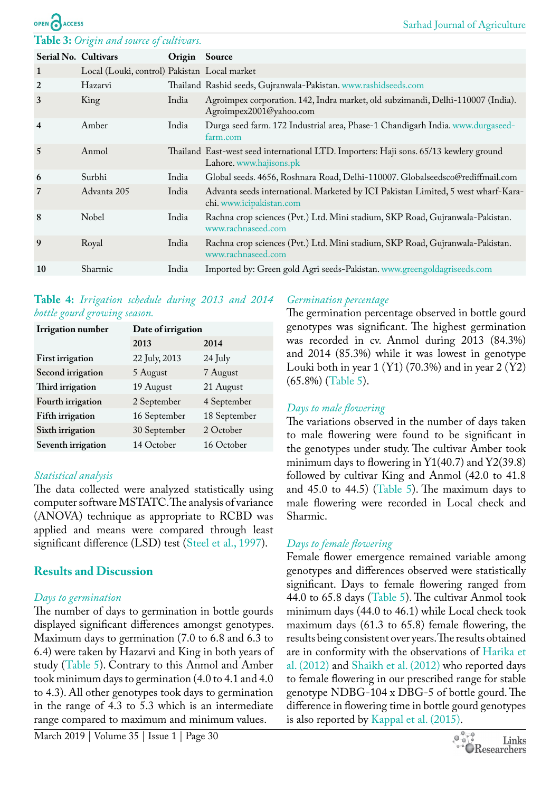#### <span id="page-3-0"></span>**Table 3:** *Origin and source of cultivars.*

**ACCESS** 

|                         | Serial No. Cultivars                         |               |                                                                                                                  |
|-------------------------|----------------------------------------------|---------------|------------------------------------------------------------------------------------------------------------------|
|                         |                                              | Origin Source |                                                                                                                  |
| 1                       | Local (Louki, control) Pakistan Local market |               |                                                                                                                  |
| 2                       | Hazarvi                                      |               | Thailand Rashid seeds, Gujranwala-Pakistan. www.rashidseeds.com                                                  |
| 3                       | King                                         | India         | Agroimpex corporation. 142, Indra market, old subzimandi, Delhi-110007 (India).<br>Agroimpex2001@yahoo.com       |
| $\overline{\mathbf{4}}$ | Amber                                        | India         | Durga seed farm. 172 Industrial area, Phase-1 Chandigarh India. www.durgaseed-<br>farm.com                       |
| 5                       | Anmol                                        |               | Thailand East-west seed international LTD. Importers: Haji sons. 65/13 kewlery ground<br>Lahore. www.hajisons.pk |
| 6                       | Surbhi                                       | India         | Global seeds. 4656, Roshnara Road, Delhi-110007. Globalseedsco@rediffmail.com                                    |
| 7                       | Advanta 205                                  | India         | Advanta seeds international. Marketed by ICI Pakistan Limited, 5 west wharf-Kara-<br>chi. www.icipakistan.com    |
| 8                       | Nobel                                        | India         | Rachna crop sciences (Pvt.) Ltd. Mini stadium, SKP Road, Gujranwala-Pakistan.<br>www.rachnaseed.com              |
| 9                       | Royal                                        | India         | Rachna crop sciences (Pvt.) Ltd. Mini stadium, SKP Road, Gujranwala-Pakistan.<br>www.rachnaseed.com              |
| 10                      | <b>Sharmic</b>                               | India         | Imported by: Green gold Agri seeds-Pakistan. www.greengoldagriseeds.com                                          |

#### <span id="page-3-1"></span>**Table 4:** *Irrigation schedule during 2013 and 2014 bottle gourd growing season.*

| <b>Irrigation</b> number | Date of irrigation |              |  |  |  |  |
|--------------------------|--------------------|--------------|--|--|--|--|
|                          | 2013               | 2014         |  |  |  |  |
| <b>First irrigation</b>  | 22 July, 2013      | 24 July      |  |  |  |  |
| Second irrigation        | 5 August           | 7 August     |  |  |  |  |
| Third irrigation         | 19 August          | 21 August    |  |  |  |  |
| Fourth irrigation        | 2 September        | 4 September  |  |  |  |  |
| Fifth irrigation         | 16 September       | 18 September |  |  |  |  |
| Sixth irrigation         | 30 September       | 2 October    |  |  |  |  |
| Seventh irrigation       | 14 October         | 16 October   |  |  |  |  |

### *Statistical analysis*

The data collected were analyzed statistically using computer software MSTATC. The analysis of variance (ANOVA) technique as appropriate to RCBD was applied and means were compared through least significant difference (LSD) test [\(Steel et al., 1997\)](#page-8-5).

# **Results and Discussion**

### *Days to germination*

The number of days to germination in bottle gourds displayed significant differences amongst genotypes. Maximum days to germination (7.0 to 6.8 and 6.3 to 6.4) were taken by Hazarvi and King in both years of study [\(Table 5\)](#page-4-0). Contrary to this Anmol and Amber took minimum days to germination (4.0 to 4.1 and 4.0 to 4.3). All other genotypes took days to germination in the range of 4.3 to 5.3 which is an intermediate range compared to maximum and minimum values.

#### *Germination percentage*

The germination percentage observed in bottle gourd genotypes was significant. The highest germination was recorded in cv. Anmol during 2013 (84.3%) and 2014 (85.3%) while it was lowest in genotype Louki both in year  $1 (Y1) (70.3%)$  and in year  $2 (Y2)$ (65.8%) ([Table 5\)](#page-4-0).

### *Days to male flowering*

The variations observed in the number of days taken to male flowering were found to be significant in the genotypes under study. The cultivar Amber took minimum days to flowering in  $Y1(40.7)$  and  $Y2(39.8)$ followed by cultivar King and Anmol (42.0 to 41.8 and  $45.0$  to  $44.5$ ) ([Table 5](#page-4-0)). The maximum days to male flowering were recorded in Local check and Sharmic.

# *Days to female flowering*

Female flower emergence remained variable among genotypes and differences observed were statistically significant. Days to female flowering ranged from 44.0 to 65.8 days ([Table 5](#page-4-0)). The cultivar Anmol took minimum days (44.0 to 46.1) while Local check took maximum days (61.3 to 65.8) female flowering, the results being consistent over years. The results obtained are in conformity with the observations of [Harika et](#page-7-8) [al. \(2012\)](#page-7-8) and [Shaikh et al. \(2012\)](#page-7-11) who reported days to female flowering in our prescribed range for stable genotype NDBG-104 x DBG-5 of bottle gourd. The difference in flowering time in bottle gourd genotypes is also reported by [Kappal et al. \(2015\)](#page-7-12).

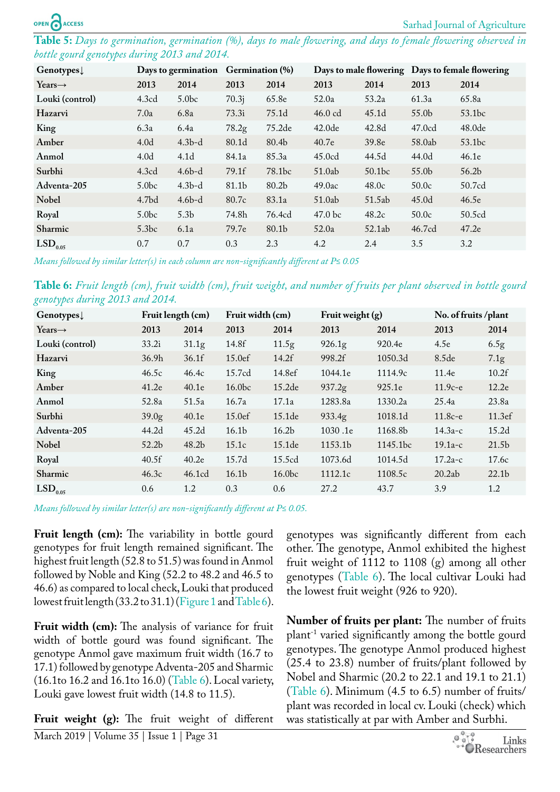<span id="page-4-0"></span>**Table 5:** *Days to germination, germination (%), days to male flowering, and days to female flowering observed in bottle gourd genotypes during 2013 and 2014.*

| $Genotypes\downarrow$    | Days to germination |                   | Germination (%)   |        |                    |                    | Days to male flowering Days to female flowering |                   |
|--------------------------|---------------------|-------------------|-------------------|--------|--------------------|--------------------|-------------------------------------------------|-------------------|
| Years $\rightarrow$      | 2013                | 2014              | 2013              | 2014   | 2013               | 2014               | 2013                                            | 2014              |
| Louki (control)          | 4.3cd               | 5.0 <sub>bc</sub> | 70.3 <sub>i</sub> | 65.8e  | 52.0a              | 53.2a              | 61.3a                                           | 65.8a             |
| Hazarvi                  | 7.0a                | 6.8a              | 73.3i             | 75.1d  | $46.0$ cd          | 45.1 <sub>d</sub>  | 55.0b                                           | 53.1bc            |
| King                     | 6.3a                | 6.4a              | 78.2 <sub>g</sub> | 75.2de | 42.0 <sub>de</sub> | 42.8d              | 47.0cd                                          | 48.0de            |
| Amber                    | 4.0 <sub>d</sub>    | $4.3b-d$          | 80.1d             | 80.4b  | 40.7e              | 39.8 <sub>e</sub>  | 58.0ab                                          | 53.1bc            |
| Anmol                    | 4.0 <sub>d</sub>    | 4.1 <sub>d</sub>  | 84.1a             | 85.3a  | 45.0cd             | 44.5d              | 44.0d                                           | 46.1e             |
| Surbhi                   | 4.3cd               | $4.6b-d$          | 79.1f             | 78.1bc | 51.0ab             | 50.1 <sub>bc</sub> | 55.0b                                           | 56.2 <sub>b</sub> |
| Adventa-205              | 5.0 <sub>bc</sub>   | $4.3b-d$          | 81.1b             | 80.2b  | 49.0ac             | 48.0c              | 50.0c                                           | 50.7cd            |
| <b>Nobel</b>             | 4.7 <sub>bd</sub>   | $4.6b-d$          | 80.7c             | 83.1a  | 51.0ab             | 51.5ab             | 45.0d                                           | 46.5e             |
| Royal                    | 5.0 <sub>bc</sub>   | 5.3 <sub>b</sub>  | 74.8h             | 76.4cd | 47.0 bc            | 48.2c              | 50.0c                                           | 50.5cd            |
| <b>Sharmic</b>           | 5.3bc               | 6.1a              | 79.7e             | 80.1b  | 52.0a              | 52.1ab             | 46.7cd                                          | 47.2e             |
| $\mathrm{LSD}_{_{0.05}}$ | 0.7                 | 0.7               | 0.3               | 2.3    | 4.2                | 2.4                | 3.5                                             | 3.2               |

*Means followed by similar letter(s) in each column are non-significantly different at P≤ 0.05*

<span id="page-4-1"></span>**Table 6:** *Fruit length (cm), fruit width (cm), fruit weight, and number of fruits per plant observed in bottle gourd genotypes during 2013 and 2014.*

| Genotypes $\downarrow$   | Fruit length (cm) |                   | Fruit width (cm)   |                    | Fruit weight (g)   |                      | No. of fruits /plant |                   |
|--------------------------|-------------------|-------------------|--------------------|--------------------|--------------------|----------------------|----------------------|-------------------|
| Years $\rightarrow$      | 2013              | 2014              | 2013               | 2014               | 2013               | 2014                 | 2013                 | 2014              |
| Louki (control)          | 33.2i             | 31.1 <sub>g</sub> | 14.8f              | 11.5 <sub>g</sub>  | 926.1 <sub>g</sub> | 920.4e               | 4.5e                 | 6.5 <sub>g</sub>  |
| Hazarvi                  | 36.9 <sub>h</sub> | 36.1f             | 15.0ef             | 14.2f              | 998.2f             | 1050.3d              | 8.5de                | 7.1 <sub>g</sub>  |
| King                     | 46.5c             | 46.4c             | 15.7cd             | 14.8ef             | 1044.1e            | 1114.9c              | 11.4e                | 10.2f             |
| Amber                    | 41.2e             | 40.1e             | 16.0 <sub>bc</sub> | 15.2 <sub>de</sub> | 937.2 <sub>g</sub> | 925.1e               | $11.9c-e$            | 12.2e             |
| Anmol                    | 52.8a             | 51.5a             | 16.7a              | 17.1a              | 1283.8a            | 1330.2a              | 25.4a                | 23.8a             |
| Surbhi                   | 39.0 <sub>g</sub> | 40.1e             | 15.0ef             | 15.1 <sub>de</sub> | 933.4g             | 1018.1d              | $11.8c-e$            | 11.3ef            |
| Adventa-205              | 44.2d             | 45.2 <sub>d</sub> | 16.1 <sub>b</sub>  | 16.2 <sub>b</sub>  | 1030.1e            | 1168.8b              | $14.3a-c$            | 15.2 <sub>d</sub> |
| <b>Nobel</b>             | 52.2 <sub>b</sub> | 48.2 <sub>b</sub> | 15.1c              | 15.1 <sub>de</sub> | 1153.1b            | 1145.1 <sub>bc</sub> | $19.1a-c$            | 21.5 <sub>b</sub> |
| Royal                    | 40.5f             | 40.2e             | 15.7d              | 15.5cd             | 1073.6d            | 1014.5d              | $17.2a-c$            | 17.6c             |
| <b>Sharmic</b>           | 46.3c             | 46.1cd            | 16.1 <sub>b</sub>  | 16.0 <sub>bc</sub> | 1112.1c            | 1108.5c              | 20.2ab               | 22.1 <sub>b</sub> |
| $\mathrm{LSD}_{_{0.05}}$ | 0.6               | 1.2               | 0.3                | 0.6                | 27.2               | 43.7                 | 3.9                  | 1.2               |

*Means followed by similar letter(s) are non-significantly different at P≤ 0.05.*

Fruit length (cm): The variability in bottle gourd genotypes for fruit length remained significant. The highest fruit length (52.8 to 51.5) was found in Anmol followed by Noble and King (52.2 to 48.2 and 46.5 to 46.6) as compared to local check, Louki that produced lowest fruit length (33.2 to 31.1) ([Figure 1](#page-5-0) and [Table 6](#page-4-1)).

Fruit width (cm): The analysis of variance for fruit width of bottle gourd was found significant. The genotype Anmol gave maximum fruit width (16.7 to 17.1) followed by genotype Adventa-205 and Sharmic (16.1to 16.2 and 16.1to 16.0) ([Table 6](#page-4-1)). Local variety, Louki gave lowest fruit width (14.8 to 11.5).

**Fruit weight (g):** The fruit weight of different

genotypes was significantly different from each other. The genotype, Anmol exhibited the highest fruit weight of 1112 to 1108 (g) among all other genotypes ([Table 6](#page-4-1)). The local cultivar Louki had the lowest fruit weight (926 to 920).

**Number of fruits per plant:** The number of fruits plant-1 varied significantly among the bottle gourd genotypes. The genotype Anmol produced highest (25.4 to 23.8) number of fruits/plant followed by Nobel and Sharmic (20.2 to 22.1 and 19.1 to 21.1) ([Table 6\)](#page-4-1). Minimum (4.5 to 6.5) number of fruits/ plant was recorded in local cv. Louki (check) which was statistically at par with Amber and Surbhi.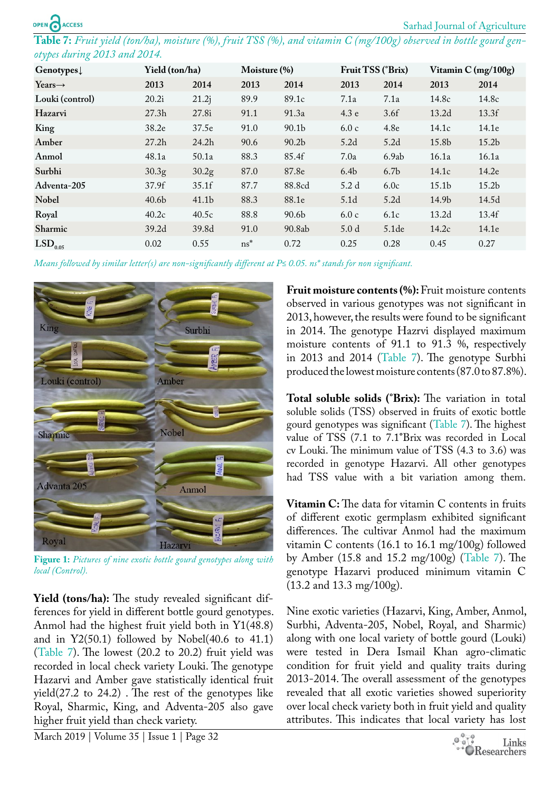<span id="page-5-1"></span>**Table 7:** *Fruit yield (ton/ha), moisture (%), fruit TSS (%), and vitamin C (mg/100g) observed in bottle gourd genotypes during 2013 and 2014.*

| Genotypes $\downarrow$ | Yield (ton/ha)    |                   | Moisture (%) |                   | Fruit TSS (°Brix) |                   | Vitamin C (mg/100g) |                   |
|------------------------|-------------------|-------------------|--------------|-------------------|-------------------|-------------------|---------------------|-------------------|
| Years $\rightarrow$    | 2013              | 2014              | 2013         | 2014              | 2013              | 2014              | 2013                | 2014              |
| Louki (control)        | 20.2i             | 21.2j             | 89.9         | 89.1c             | 7.1a              | 7.1a              | 14.8c               | 14.8c             |
| Hazarvi                | 27.3 <sub>h</sub> | 27.8i             | 91.1         | 91.3a             | 4.3 e             | 3.6f              | 13.2 <sub>d</sub>   | 13.3f             |
| King                   | 38.2e             | 37.5e             | 91.0         | 90.1 <sub>b</sub> | 6.0c              | 4.8 <sub>e</sub>  | 14.1c               | 14.1e             |
| Amber                  | 27.2 <sub>h</sub> | 24.2h             | 90.6         | 90.2 <sub>b</sub> | 5.2d              | 5.2d              | 15.8b               | 15.2 <sub>b</sub> |
| Anmol                  | 48.1a             | 50.1a             | 88.3         | 85.4f             | 7.0a              | 6.9ab             | 16.1a               | 16.1a             |
| Surbhi                 | 30.3 <sub>g</sub> | 30.2 <sub>g</sub> | 87.0         | 87.8e             | 6.4 <sub>b</sub>  | 6.7 <sub>b</sub>  | 14.1c               | 14.2e             |
| Adventa-205            | 37.9f             | 35.1f             | 87.7         | 88.8cd            | 5.2 d             | 6.0c              | 15.1 <sub>b</sub>   | 15.2 <sub>b</sub> |
| <b>Nobel</b>           | 40.6 <sub>b</sub> | 41.1 <sub>b</sub> | 88.3         | 88.1e             | 5.1 <sub>d</sub>  | 5.2d              | 14.9b               | 14.5d             |
| Royal                  | 40.2c             | 40.5c             | 88.8         | 90.6b             | 6.0c              | 6.1c              | 13.2 <sub>d</sub>   | 13.4f             |
| <b>Sharmic</b>         | 39.2d             | 39.8d             | 91.0         | 90.8ab            | 5.0 <sub>d</sub>  | 5.1 <sub>de</sub> | 14.2c               | 14.1e             |
| LSD <sub>0.05</sub>    | 0.02              | 0.55              | $ns^*$       | 0.72              | 0.25              | 0.28              | 0.45                | 0.27              |

*Means followed by similar letter(s) are non-significantly different at P≤ 0.05. ns\* stands for non significant.*



**Figure 1:** *Pictures of nine exotic bottle gourd genotypes along with local (Control).*

<span id="page-5-0"></span>**Yield (tons/ha):** The study revealed significant differences for yield in different bottle gourd genotypes. Anmol had the highest fruit yield both in Y1(48.8) and in  $Y2(50.1)$  followed by Nobel(40.6 to 41.1) ([Table 7\)](#page-5-1). The lowest (20.2 to 20.2) fruit yield was recorded in local check variety Louki. The genotype Hazarvi and Amber gave statistically identical fruit yield(27.2 to 24.2) . The rest of the genotypes like Royal, Sharmic, King, and Adventa-205 also gave higher fruit yield than check variety.

**Fruit moisture contents (%):** Fruit moisture contents observed in various genotypes was not significant in 2013, however, the results were found to be significant in 2014. The genotype Hazrvi displayed maximum moisture contents of 91.1 to 91.3 %, respectively in 2013 and 2014 [\(Table 7](#page-5-1)). The genotype Surbhi produced the lowest moisture contents (87.0 to 87.8%).

**Total soluble solids (°Brix):** The variation in total soluble solids (TSS) observed in fruits of exotic bottle gourd genotypes was significant ([Table 7\)](#page-5-1). The highest value of TSS (7.1 to 7.1**°**Brix was recorded in Local cv Louki. The minimum value of TSS (4.3 to 3.6) was recorded in genotype Hazarvi. All other genotypes had TSS value with a bit variation among them.

**Vitamin C:** The data for vitamin C contents in fruits of different exotic germplasm exhibited significant differences. The cultivar Anmol had the maximum vitamin C contents (16.1 to 16.1 mg/100g) followed by Amber (15.8 and 15.2 mg/100g) [\(Table 7\)](#page-5-1). The genotype Hazarvi produced minimum vitamin C (13.2 and 13.3 mg/100g).

Nine exotic varieties (Hazarvi, King, Amber, Anmol, Surbhi, Adventa-205, Nobel, Royal, and Sharmic) along with one local variety of bottle gourd (Louki) were tested in Dera Ismail Khan agro-climatic condition for fruit yield and quality traits during 2013-2014. The overall assessment of the genotypes revealed that all exotic varieties showed superiority over local check variety both in fruit yield and quality attributes. This indicates that local variety has lost

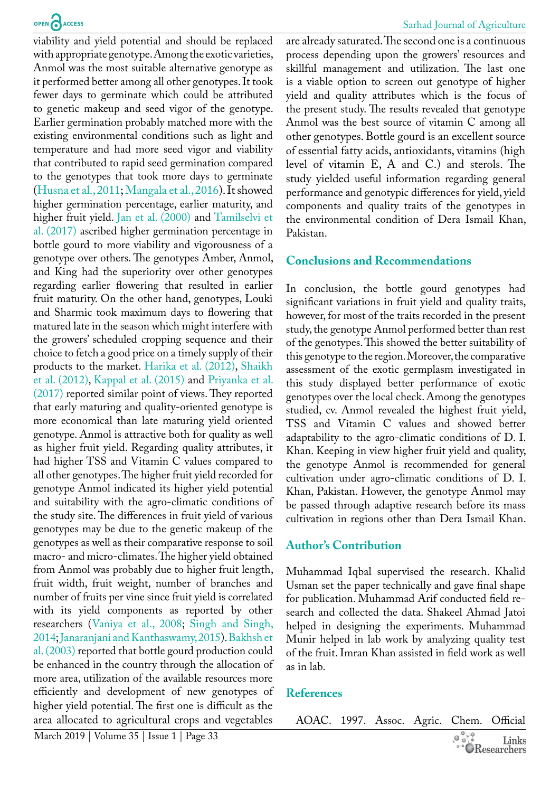viability and yield potential and should be replaced with appropriate genotype. Among the exotic varieties, Anmol was the most suitable alternative genotype as it performed better among all other genotypes. It took fewer days to germinate which could be attributed to genetic makeup and seed vigor of the genotype. Earlier germination probably matched more with the existing environmental conditions such as light and temperature and had more seed vigor and viability that contributed to rapid seed germination compared to the genotypes that took more days to germinate ([Husna et al., 2011](#page-7-13); [Mangala et al., 2016\)](#page-7-14). It showed higher germination percentage, earlier maturity, and higher fruit yield. [Jan et al. \(2000\)](#page-7-15) and [Tamilselvi et](#page-8-6)  [al. \(2017\)](#page-8-6) ascribed higher germination percentage in bottle gourd to more viability and vigorousness of a genotype over others. The genotypes Amber, Anmol, and King had the superiority over other genotypes regarding earlier flowering that resulted in earlier fruit maturity. On the other hand, genotypes, Louki and Sharmic took maximum days to flowering that matured late in the season which might interfere with the growers' scheduled cropping sequence and their choice to fetch a good price on a timely supply of their products to the market. [Harika et al. \(2012\),](#page-7-8) [Shaikh](#page-7-11)  [et al. \(2012\),](#page-7-11) [Kappal et al. \(2015\)](#page-7-12) and [Priyanka et al.](#page-7-16)  [\(2017\)](#page-7-16) reported similar point of views. They reported that early maturing and quality-oriented genotype is more economical than late maturing yield oriented genotype. Anmol is attractive both for quality as well as higher fruit yield. Regarding quality attributes, it had higher TSS and Vitamin C values compared to all other genotypes. The higher fruit yield recorded for genotype Anmol indicated its higher yield potential and suitability with the agro-climatic conditions of the study site. The differences in fruit yield of various genotypes may be due to the genetic makeup of the genotypes as well as their comparative response to soil macro- and micro-climates. The higher yield obtained from Anmol was probably due to higher fruit length, fruit width, fruit weight, number of branches and number of fruits per vine since fruit yield is correlated with its yield components as reported by other researchers ([Vaniya et al., 2008;](#page-8-3) [Singh and Singh,](#page-8-7)  [2014](#page-8-7); [Janaranjani and Kanthaswamy, 2015\)](#page-7-17). [Bakhsh et](#page-7-18)  [al. \(2003\)](#page-7-18) reported that bottle gourd production could be enhanced in the country through the allocation of more area, utilization of the available resources more efficiently and development of new genotypes of higher yield potential. The first one is difficult as the area allocated to agricultural crops and vegetables

are already saturated. The second one is a continuous process depending upon the growers' resources and skillful management and utilization. The last one is a viable option to screen out genotype of higher yield and quality attributes which is the focus of the present study. The results revealed that genotype Anmol was the best source of vitamin C among all other genotypes. Bottle gourd is an excellent source of essential fatty acids, antioxidants, vitamins (high level of vitamin E, A and C.) and sterols. The study yielded useful information regarding general performance and genotypic differences for yield, yield components and quality traits of the genotypes in the environmental condition of Dera Ismail Khan, Pakistan.

## **Conclusions and Recommendations**

In conclusion, the bottle gourd genotypes had significant variations in fruit yield and quality traits, however, for most of the traits recorded in the present study, the genotype Anmol performed better than rest of the genotypes. This showed the better suitability of this genotype to the region. Moreover, the comparative assessment of the exotic germplasm investigated in this study displayed better performance of exotic genotypes over the local check. Among the genotypes studied, cv. Anmol revealed the highest fruit yield, TSS and Vitamin C values and showed better adaptability to the agro-climatic conditions of D. I. Khan. Keeping in view higher fruit yield and quality, the genotype Anmol is recommended for general cultivation under agro-climatic conditions of D. I. Khan, Pakistan. However, the genotype Anmol may be passed through adaptive research before its mass cultivation in regions other than Dera Ismail Khan.

# **Author's Contribution**

Muhammad Iqbal supervised the research. Khalid Usman set the paper technically and gave final shape for publication. Muhammad Arif conducted field research and collected the data. Shakeel Ahmad Jatoi helped in designing the experiments. Muhammad Munir helped in lab work by analyzing quality test of the fruit. Imran Khan assisted in field work as well as in lab.

# **References**

AOAC. 1997. Assoc. Agric. Chem. Official

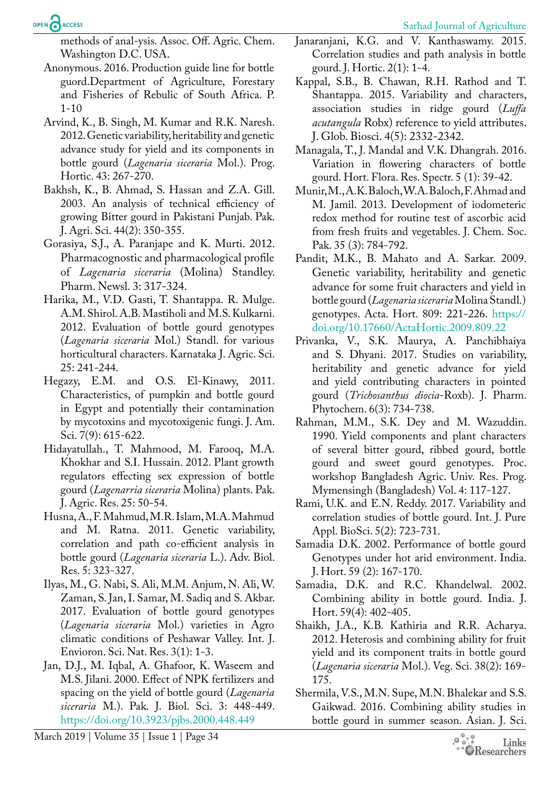methods of anal-ysis. Assoc. Off. Agric. Chem. Washington D.C. USA.

- <span id="page-7-2"></span>Anonymous. 2016. Production guide line for bottle guord.Department of Agriculture, Forestary and Fisheries of Rebulic of South Africa. P. 1-10
- <span id="page-7-9"></span>Arvind, K., B. Singh, M. Kumar and R.K. Naresh. 2012. Genetic variability, heritability and genetic advance study for yield and its components in bottle gourd (*Lagenaria siceraria* Mol.). Prog. Hortic. 43: 267-270.
- <span id="page-7-18"></span>Bakhsh, K., B. Ahmad, S. Hassan and Z.A. Gill. 2003. An analysis of technical efficiency of growing Bitter gourd in Pakistani Punjab. Pak. J. Agri. Sci. 44(2): 350-355.
- <span id="page-7-4"></span>Gorasiya, S.J., A. Paranjape and K. Murti. 2012. Pharmacognostic and pharmacological profile of *Lagenaria siceraria* (Molina) Standley. Pharm. Newsl. 3: 317-324.
- <span id="page-7-8"></span>Harika, M., V.D. Gasti, T. Shantappa. R. Mulge. A.M. Shirol. A.B. Mastiholi and M.S. Kulkarni. 2012. Evaluation of bottle gourd genotypes (*Lagenaria siceraria* Mol.) Standl. for various horticultural characters. Karnataka J. Agric. Sci. 25: 241-244.
- <span id="page-7-3"></span>Hegazy, E.M. and O.S. El-Kinawy, 2011. Characteristics, of pumpkin and bottle gourd in Egypt and potentially their contamination by mycotoxins and mycotoxigenic fungi. J. Am. Sci. 7(9): 615-622.
- <span id="page-7-0"></span>Hidayatullah., T. Mahmood, M. Farooq, M.A. Khokhar and S.I. Hussain. 2012. Plant growth regulators effecting sex expression of bottle gourd (*Lagenarria siceraria* Molina) plants. Pak. J. Agric. Res. 25: 50-54.
- <span id="page-7-13"></span>Husna, A., F. Mahmud, M.R. Islam, M.A. Mahmud and M. Ratna. 2011. Genetic variability, correlation and path co-efficient analysis in bottle gourd (*Lagenaria siceraria* L.). Adv. Biol. Res. 5: 323-327.
- <span id="page-7-1"></span>Ilyas, M., G. Nabi, S. Ali, M.M. Anjum, N. Ali, W. Zaman, S. Jan, I. Samar, M. Sadiq and S. Akbar. 2017. Evaluation of bottle gourd genotypes (*Lagenaria siceraria* Mol.) varieties in Agro climatic conditions of Peshawar Valley. Int. J. Envioron. Sci. Nat. Res. 3(1): 1-3.
- <span id="page-7-15"></span>Jan, D.J., M. Iqbal, A. Ghafoor, K. Waseem and M.S. Jilani. 2000. Effect of NPK fertilizers and spacing on the yield of bottle gourd (*Lagenaria siceraria* M.). Pak. J. Biol. Sci. 3: 448-449. <https://doi.org/10.3923/pjbs.2000.448.449>

<span id="page-7-17"></span>Janaranjani, K.G. and V. Kanthaswamy. 2015. Correlation studies and path analysis in bottle gourd. J. Hortic. 2(1): 1-4.

- <span id="page-7-12"></span>Kappal, S.B., B. Chawan, R.H. Rathod and T. Shantappa. 2015. Variability and characters, association studies in ridge gourd (*Luffa acutangula* Robx) reference to yield attributes. J. Glob. Biosci. 4(5): 2332-2342.
- <span id="page-7-14"></span>Managala, T., J. Mandal and V.K. Dhangrah. 2016. Variation in flowering characters of bottle gourd. Hort. Flora. Res. Spectr. 5 (1): 39-42.
- <span id="page-7-10"></span>Munir, M., A.K. Baloch, W.A. Baloch, F. Ahmad and M. Jamil. 2013. Development of iodometeric redox method for routine test of ascorbic acid from fresh fruits and vegetables. J. Chem. Soc. Pak. 35 (3): 784-792.
- <span id="page-7-7"></span>Pandit, M.K., B. Mahato and A. Sarkar. 2009. Genetic variability, heritability and genetic advance for some fruit characters and yield in bottle gourd (*Lagenaria siceraria* Molina Standl.) genotypes. Acta. Hort. 809: 221-226. [https://](https://doi.org/10.17660/ActaHortic.2009.809.22) [doi.org/10.17660/ActaHortic.2009.809.22](https://doi.org/10.17660/ActaHortic.2009.809.22)
- <span id="page-7-16"></span>Privanka, V., S.K. Maurya, A. Panchibhaiya and S. Dhyani. 2017. Studies on variability, heritability and genetic advance for yield and yield contributing characters in pointed gourd (*Trichosanthus diocia*-Roxb). J. Pharm. Phytochem. 6(3): 734-738.
- <span id="page-7-5"></span>Rahman, M.M., S.K. Dey and M. Wazuddin. 1990. Yield components and plant characters of several bitter gourd, ribbed gourd, bottle gourd and sweet gourd genotypes. Proc. workshop Bangladesh Agric. Univ. Res. Prog. Mymensingh (Bangladesh) Vol. 4: 117-127.
- Rami, U.K. and E.N. Reddy. 2017. Variability and correlation studies of bottle gourd. Int. J. Pure Appl. BioSci. 5(2): 723-731.
- <span id="page-7-6"></span>Samadia D.K. 2002. Performance of bottle gourd Genotypes under hot arid environment. India. J. Hort. 59 (2): 167-170.
- Samadia, D.K. and R.C. Khandelwal. 2002. Combining ability in bottle gourd. India. J. Hort. 59(4): 402-405.
- <span id="page-7-11"></span>Shaikh, J.A., K.B. Kathiria and R.R. Acharya. 2012. Heterosis and combining ability for fruit yield and its component traits in bottle gourd (*Lagenaria siceraria* Mol.). Veg. Sci. 38(2): 169- 175.
- Shermila, V.S., M.N. Supe, M.N. Bhalekar and S.S. Gaikwad. 2016. Combining ability studies in bottle gourd in summer season. Asian. J. Sci.

March 2019 | Volume 35 | Issue 1 | Page 34